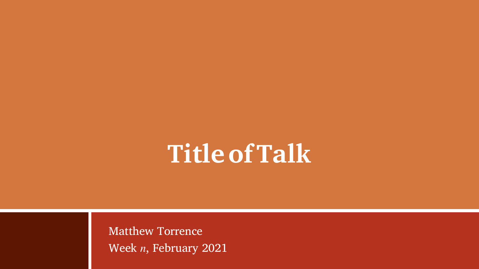# <span id="page-0-0"></span>**TitleofTalk**

Matthew Torrence Week  $n$ , February 2021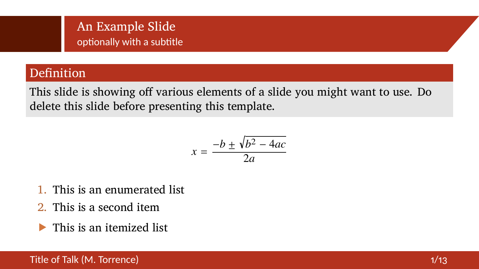## An Example Slide optionally with a subtitle

## Definition

This slide is showing off various elements of a slide you might want to use. Do delete this slide before presenting this template.

$$
x = \frac{-b \pm \sqrt{b^2 - 4ac}}{2a}
$$

- 1. This is an enumerated list
- 2. This is a second item
- This is an itemized list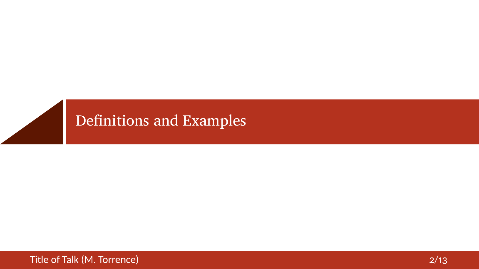<span id="page-2-0"></span>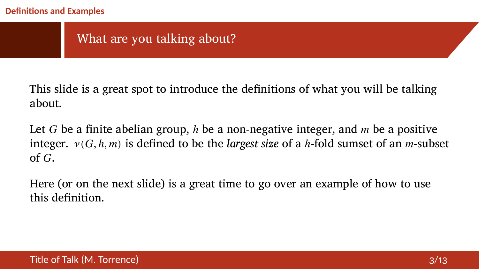## What are you talking about?

This slide is a great spot to introduce the definitions of what you will be talking about.

Let G be a finite abelian group,  $h$  be a non-negative integer, and  $m$  be a positive integer.  $v(G, h, m)$  is defined to be the *largest size* of a *h*-fold sumset of an *m*-subset of  $G$ .

Here (or on the next slide) is a great time to go over an example of how to use this definition.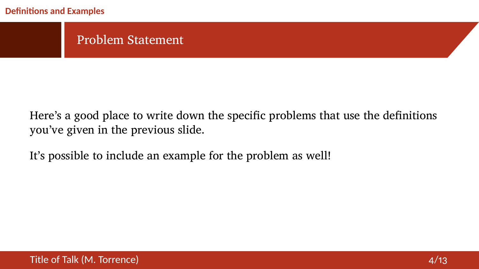#### **Definitions and Examples**

#### Problem Statement

Here's a good place to write down the specific problems that use the definitions you've given in the previous slide.

It's possible to include an example for the problem as well!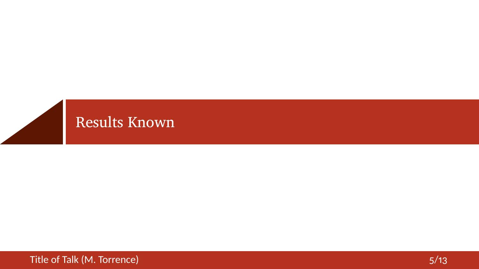<span id="page-5-0"></span>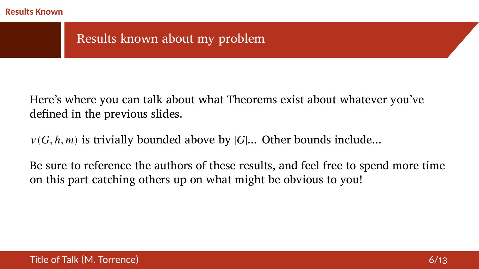#### **Results Known**

## Results known about my problem

Here's where you can talk about what Theorems exist about whatever you've defined in the previous slides.

 $v(G, h, m)$  is trivially bounded above by  $|G|...$  Other bounds include...

Be sure to reference the authors of these results, and feel free to spend more time on this part catching others up on what might be obvious to you!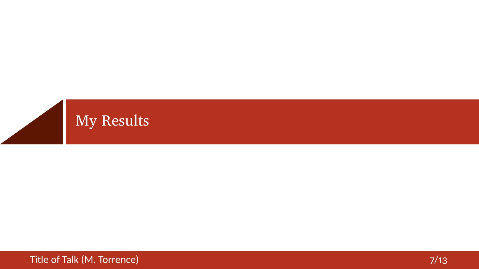<span id="page-7-0"></span>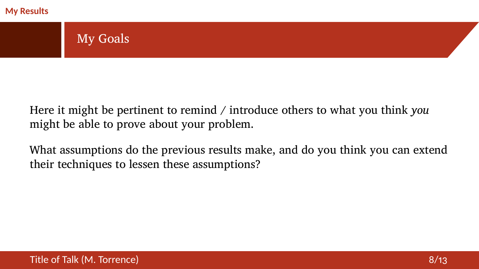#### **My Results**

# My Goals

Here it might be pertinent to remind / introduce others to what you think *you* might be able to prove about your problem.

What assumptions do the previous results make, and do you think you can extend their techniques to lessen these assumptions?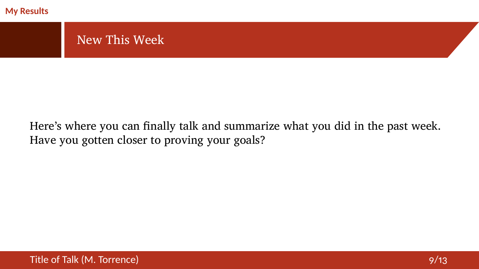

## Here's where you can finally talk and summarize what you did in the past week. Have you gotten closer to proving your goals?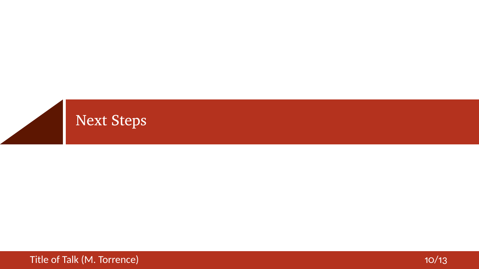<span id="page-10-0"></span>

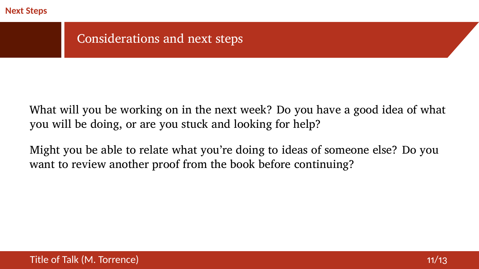#### **Next Steps**

Considerations and next steps

What will you be working on in the next week? Do you have a good idea of what you will be doing, or are you stuck and looking for help?

Might you be able to relate what you're doing to ideas of someone else? Do you want to review another proof from the book before continuing?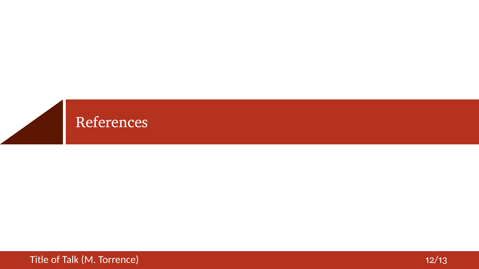<span id="page-12-0"></span>